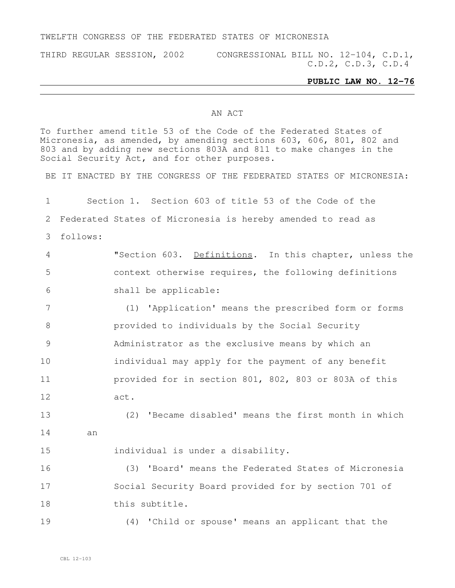#### TWELFTH CONGRESS OF THE FEDERATED STATES OF MICRONESIA

THIRD REGULAR SESSION, 2002 CONGRESSIONAL BILL NO. 12-104, C.D.1, C.D.2, C.D.3, C.D.4

### **PUBLIC LAW NO. 12-76**

#### AN ACT

To further amend title 53 of the Code of the Federated States of Micronesia, as amended, by amending sections 603, 606, 801, 802 and and by adding new sections 803A and 811 to make changes in the Social Security Act, and for other purposes.

BE IT ENACTED BY THE CONGRESS OF THE FEDERATED STATES OF MICRONESIA:

 Section 1. Section 603 of title 53 of the Code of the Federated States of Micronesia is hereby amended to read as follows:

 "Section 603. Definitions. In this chapter, unless the context otherwise requires, the following definitions shall be applicable:

 (1) 'Application' means the prescribed form or forms provided to individuals by the Social Security Administrator as the exclusive means by which an individual may apply for the payment of any benefit provided for in section 801, 802, 803 or 803A of this act.

 (2) 'Became disabled' means the first month in which an

individual is under a disability.

 (3) 'Board' means the Federated States of Micronesia Social Security Board provided for by section 701 of this subtitle.

(4) 'Child or spouse' means an applicant that the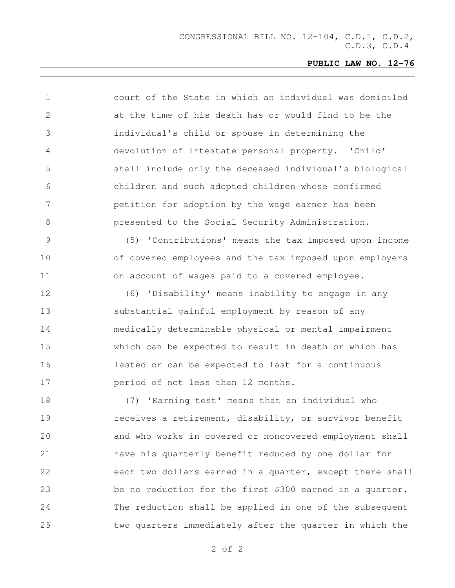| $\mathbf 1$    | court of the State in which an individual was domiciled  |
|----------------|----------------------------------------------------------|
| $\overline{2}$ | at the time of his death has or would find to be the     |
| 3              | individual's child or spouse in determining the          |
| 4              | devolution of intestate personal property. 'Child'       |
| 5              | shall include only the deceased individual's biological  |
| 6              | children and such adopted children whose confirmed       |
| 7              | petition for adoption by the wage earner has been        |
| 8              | presented to the Social Security Administration.         |
| 9              | (5) 'Contributions' means the tax imposed upon income    |
| 10             | of covered employees and the tax imposed upon employers  |
| 11             | on account of wages paid to a covered employee.          |
| 12             | (6) 'Disability' means inability to engage in any        |
| 13             | substantial gainful employment by reason of any          |
| 14             | medically determinable physical or mental impairment     |
| 15             | which can be expected to result in death or which has    |
| 16             | lasted or can be expected to last for a continuous       |
| 17             | period of not less than 12 months.                       |
| 18             | (7) 'Earning test' means that an individual who          |
| 19             | receives a retirement, disability, or survivor benefit   |
| 20             | and who works in covered or noncovered employment shall  |
| 21             | have his quarterly benefit reduced by one dollar for     |
| 22             | each two dollars earned in a quarter, except there shall |
| 23             | be no reduction for the first \$300 earned in a quarter. |
| 24             | The reduction shall be applied in one of the subsequent  |
| 25             | two quarters immediately after the quarter in which the  |
|                |                                                          |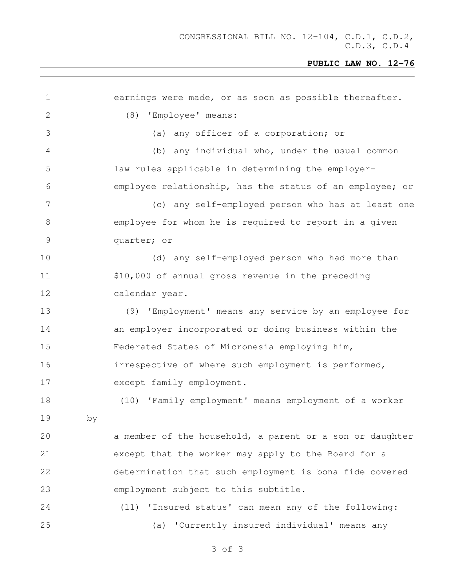| $\mathbf 1$     |    | earnings were made, or as soon as possible thereafter.   |
|-----------------|----|----------------------------------------------------------|
| 2               |    | (8) 'Employee' means:                                    |
| 3               |    | (a) any officer of a corporation; or                     |
| 4               |    | (b) any individual who, under the usual common           |
| 5               |    | law rules applicable in determining the employer-        |
| 6               |    | employee relationship, has the status of an employee; or |
| $7\phantom{.0}$ |    | (c) any self-employed person who has at least one        |
| $8\,$           |    | employee for whom he is required to report in a given    |
| $\mathsf 9$     |    | quarter; or                                              |
| 10              |    | (d) any self-employed person who had more than           |
| 11              |    | \$10,000 of annual gross revenue in the preceding        |
| 12              |    | calendar year.                                           |
| 13              |    | (9) 'Employment' means any service by an employee for    |
| 14              |    | an employer incorporated or doing business within the    |
| 15              |    | Federated States of Micronesia employing him,            |
| 16              |    | irrespective of where such employment is performed,      |
| 17              |    | except family employment.                                |
| 18              |    | (10) 'Family employment' means employment of a worker    |
| 19              | by |                                                          |
| 20              |    | a member of the household, a parent or a son or daughter |
| 21              |    | except that the worker may apply to the Board for a      |
| 22              |    | determination that such employment is bona fide covered  |
| 23              |    | employment subject to this subtitle.                     |
| 24              |    | (11) 'Insured status' can mean any of the following:     |
| 25              |    | (a) 'Currently insured individual' means any             |
|                 |    |                                                          |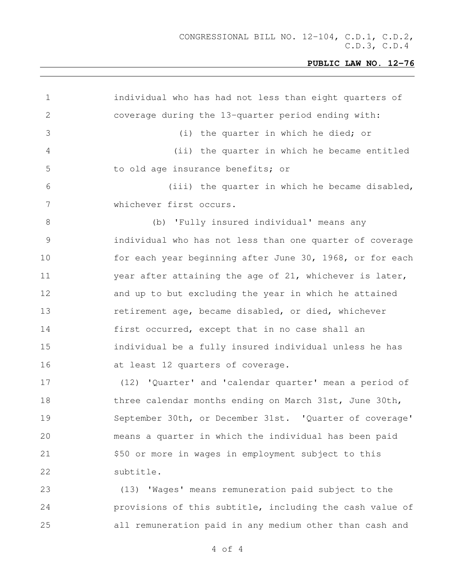| 1  | individual who has had not less than eight quarters of   |
|----|----------------------------------------------------------|
| 2  | coverage during the 13-quarter period ending with:       |
| 3  | (i) the quarter in which he died; or                     |
| 4  | (ii) the quarter in which he became entitled             |
| 5  | to old age insurance benefits; or                        |
| 6  | (iii) the quarter in which he became disabled,           |
| 7  | whichever first occurs.                                  |
| 8  | (b) 'Fully insured individual' means any                 |
| 9  | individual who has not less than one quarter of coverage |
| 10 | for each year beginning after June 30, 1968, or for each |
| 11 | year after attaining the age of 21, whichever is later,  |
| 12 | and up to but excluding the year in which he attained    |
| 13 | retirement age, became disabled, or died, whichever      |
| 14 | first occurred, except that in no case shall an          |
| 15 | individual be a fully insured individual unless he has   |
| 16 | at least 12 quarters of coverage.                        |
| 17 | (12) 'Quarter' and 'calendar quarter' mean a period of   |
| 18 | three calendar months ending on March 31st, June 30th,   |
| 19 | September 30th, or December 31st. 'Quarter of coverage'  |
| 20 | means a quarter in which the individual has been paid    |
| 21 | \$50 or more in wages in employment subject to this      |
| 22 | subtitle.                                                |
| 23 | (13) 'Wages' means remuneration paid subject to the      |
| 24 | provisions of this subtitle, including the cash value of |
| 25 | all remuneration paid in any medium other than cash and  |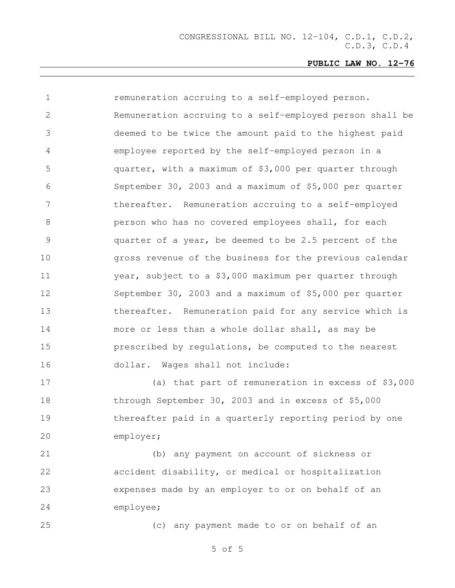| $\mathbf 1$     | remuneration accruing to a self-employed person.         |
|-----------------|----------------------------------------------------------|
| $\overline{2}$  | Remuneration accruing to a self-employed person shall be |
| 3               | deemed to be twice the amount paid to the highest paid   |
| 4               | employee reported by the self-employed person in a       |
| 5               | quarter, with a maximum of \$3,000 per quarter through   |
| 6               | September 30, 2003 and a maximum of \$5,000 per quarter  |
| $7\phantom{.0}$ | thereafter. Remuneration accruing to a self-employed     |
| 8               | person who has no covered employees shall, for each      |
| $\overline{9}$  | quarter of a year, be deemed to be 2.5 percent of the    |
| 10              | gross revenue of the business for the previous calendar  |
| 11              | year, subject to a \$3,000 maximum per quarter through   |
| 12              | September 30, 2003 and a maximum of \$5,000 per quarter  |
| 13              | thereafter. Remuneration paid for any service which is   |
| 14              | more or less than a whole dollar shall, as may be        |
| 15              | prescribed by regulations, be computed to the nearest    |
| 16              | dollar. Wages shall not include:                         |
| 17              | (a) that part of remuneration in excess of \$3,000       |
| 18              | through September 30, 2003 and in excess of \$5,000      |
| 19              | thereafter paid in a quarterly reporting period by one   |

employer;

 (b) any payment on account of sickness or accident disability, or medical or hospitalization expenses made by an employer to or on behalf of an employee;

(c) any payment made to or on behalf of an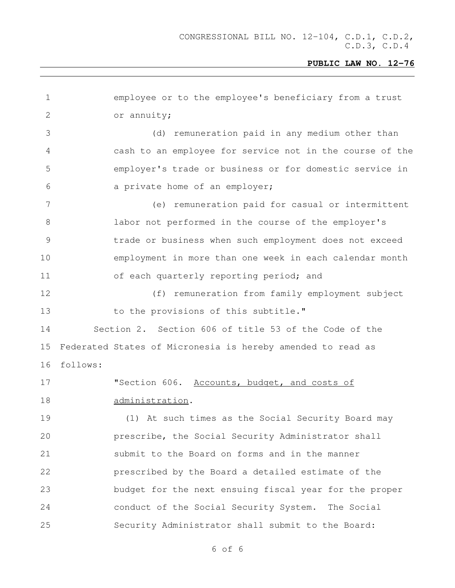| $\mathbf 1$   | employee or to the employee's beneficiary from a trust      |
|---------------|-------------------------------------------------------------|
| 2             | or annuity;                                                 |
| 3             | (d) remuneration paid in any medium other than              |
| 4             | cash to an employee for service not in the course of the    |
| 5             | employer's trade or business or for domestic service in     |
| 6             | a private home of an employer;                              |
| 7             | (e) remuneration paid for casual or intermittent            |
| $8\,$         | labor not performed in the course of the employer's         |
| $\mathcal{G}$ | trade or business when such employment does not exceed      |
| 10            | employment in more than one week in each calendar month     |
| 11            | of each quarterly reporting period; and                     |
| 12            | (f) remuneration from family employment subject             |
| 13            | to the provisions of this subtitle."                        |
| 14            | Section 2. Section 606 of title 53 of the Code of the       |
| 15            | Federated States of Micronesia is hereby amended to read as |
| 16            | follows:                                                    |
| 17            | "Section 606. Accounts, budget, and costs of                |
| 18            | administration.                                             |
| 19            | (1) At such times as the Social Security Board may          |
| 20            | prescribe, the Social Security Administrator shall          |
| 21            | submit to the Board on forms and in the manner              |
| 22            | prescribed by the Board a detailed estimate of the          |
| 23            | budget for the next ensuing fiscal year for the proper      |
| 24            | conduct of the Social Security System. The Social           |
| 25            | Security Administrator shall submit to the Board:           |
|               |                                                             |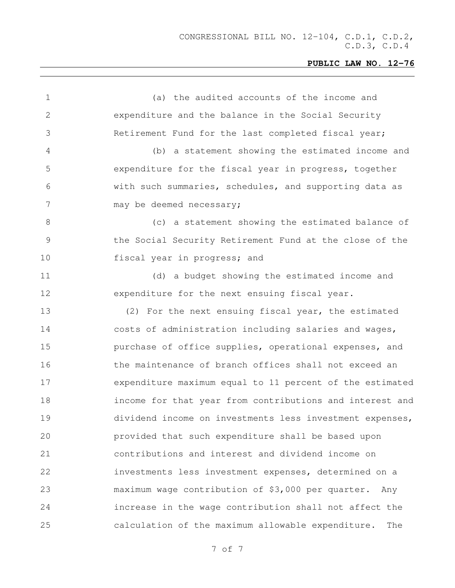(a) the audited accounts of the income and expenditure and the balance in the Social Security Retirement Fund for the last completed fiscal year; (b) a statement showing the estimated income and expenditure for the fiscal year in progress, together with such summaries, schedules, and supporting data as 7 may be deemed necessary; (c) a statement showing the estimated balance of the Social Security Retirement Fund at the close of the **fiscal year in progress; and**  (d) a budget showing the estimated income and expenditure for the next ensuing fiscal year. (2) For the next ensuing fiscal year, the estimated costs of administration including salaries and wages, purchase of office supplies, operational expenses, and 16 the maintenance of branch offices shall not exceed an expenditure maximum equal to 11 percent of the estimated income for that year from contributions and interest and dividend income on investments less investment expenses, provided that such expenditure shall be based upon contributions and interest and dividend income on investments less investment expenses, determined on a maximum wage contribution of \$3,000 per quarter. Any increase in the wage contribution shall not affect the calculation of the maximum allowable expenditure. The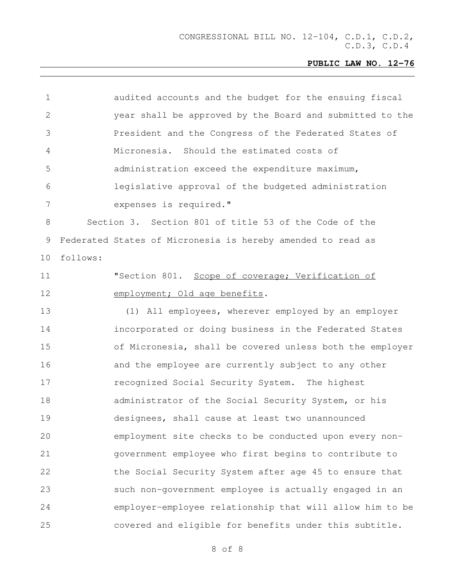CONGRESSIONAL BILL NO. 12-104, C.D.1, C.D.2, C.D.3, C.D.4

## **PUBLIC LAW NO. 12-76**

| $\mathbf 1$     | audited accounts and the budget for the ensuing fiscal      |  |
|-----------------|-------------------------------------------------------------|--|
| $\mathbf{2}$    | year shall be approved by the Board and submitted to the    |  |
| 3               | President and the Congress of the Federated States of       |  |
| 4               | Micronesia. Should the estimated costs of                   |  |
| 5               | administration exceed the expenditure maximum,              |  |
| 6               | legislative approval of the budgeted administration         |  |
| $7\phantom{.0}$ | expenses is required."                                      |  |
| 8               | Section 3. Section 801 of title 53 of the Code of the       |  |
| 9               | Federated States of Micronesia is hereby amended to read as |  |
| 10              | follows:                                                    |  |
| 11              | "Section 801. Scope of coverage; Verification of            |  |
| 12              | employment; Old age benefits.                               |  |
| 13              | (1) All employees, wherever employed by an employer         |  |
| 14              | incorporated or doing business in the Federated States      |  |
| 15              | of Micronesia, shall be covered unless both the employer    |  |
| 16              | and the employee are currently subject to any other         |  |
| 17              | recognized Social Security System. The highest              |  |
| 18              | administrator of the Social Security System, or his         |  |
| 19              | designees, shall cause at least two unannounced             |  |
| 20              | employment site checks to be conducted upon every non-      |  |
| 21              | government employee who first begins to contribute to       |  |
| 22              | the Social Security System after age 45 to ensure that      |  |
| 23              | such non-government employee is actually engaged in an      |  |
| 24              | employer-employee relationship that will allow him to be    |  |
| 25              | covered and eligible for benefits under this subtitle.      |  |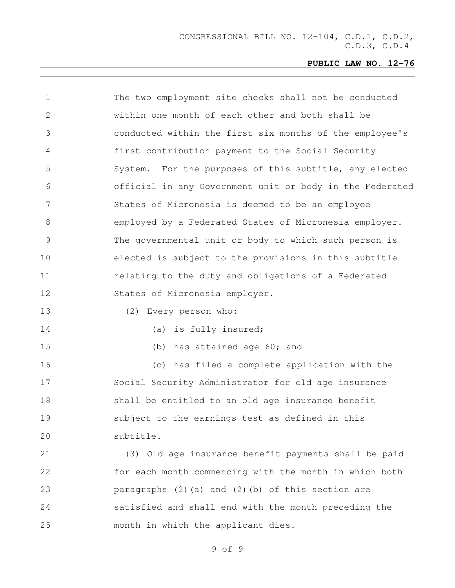| $\mathbf 1$ | The two employment site checks shall not be conducted    |
|-------------|----------------------------------------------------------|
| 2           | within one month of each other and both shall be         |
| 3           | conducted within the first six months of the employee's  |
| 4           | first contribution payment to the Social Security        |
| 5           | System. For the purposes of this subtitle, any elected   |
| 6           | official in any Government unit or body in the Federated |
| 7           | States of Micronesia is deemed to be an employee         |
| 8           | employed by a Federated States of Micronesia employer.   |
| 9           | The governmental unit or body to which such person is    |
| 10          | elected is subject to the provisions in this subtitle    |
| 11          | relating to the duty and obligations of a Federated      |
| 12          | States of Micronesia employer.                           |
| 13          | (2) Every person who:                                    |
| 14          | (a) is fully insured;                                    |
| 15          | (b) has attained age 60; and                             |
| 16          | (c) has filed a complete application with the            |
| 17          | Social Security Administrator for old age insurance      |
| 18          | shall be entitled to an old age insurance benefit        |
| 19          | subject to the earnings test as defined in this          |
| 20          | subtitle.                                                |
| 21          | (3) Old age insurance benefit payments shall be paid     |
| 22          | for each month commencing with the month in which both   |
| 23          | paragraphs (2) (a) and (2) (b) of this section are       |
| 24          | satisfied and shall end with the month preceding the     |
| 25          | month in which the applicant dies.                       |
|             |                                                          |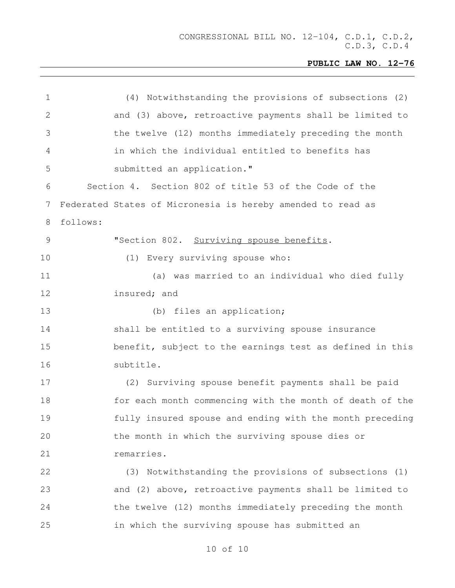| 1            | (4) Notwithstanding the provisions of subsections (2)       |
|--------------|-------------------------------------------------------------|
| $\mathbf{2}$ | and (3) above, retroactive payments shall be limited to     |
| 3            | the twelve (12) months immediately preceding the month      |
| 4            | in which the individual entitled to benefits has            |
| 5            | submitted an application."                                  |
| 6            | Section 4. Section 802 of title 53 of the Code of the       |
| 7            | Federated States of Micronesia is hereby amended to read as |
| 8            | follows:                                                    |
| 9            | "Section 802. Surviving spouse benefits.                    |
| 10           | (1) Every surviving spouse who:                             |
| 11           | (a) was married to an individual who died fully             |
| 12           | insured; and                                                |
| 13           | (b) files an application;                                   |
| 14           | shall be entitled to a surviving spouse insurance           |
| 15           | benefit, subject to the earnings test as defined in this    |
| 16           | subtitle.                                                   |
| 17           | (2) Surviving spouse benefit payments shall be paid         |
| 18           | for each month commencing with the month of death of the    |
| 19           | fully insured spouse and ending with the month preceding    |
| 20           | the month in which the surviving spouse dies or             |
| 21           | remarries.                                                  |
| 22           | (3) Notwithstanding the provisions of subsections (1)       |
| 23           | and (2) above, retroactive payments shall be limited to     |
| 24           | the twelve (12) months immediately preceding the month      |
| 25           | in which the surviving spouse has submitted an              |
|              |                                                             |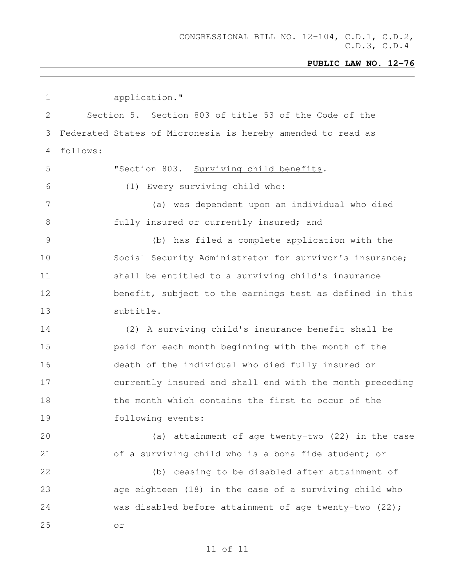CONGRESSIONAL BILL NO. 12-104, C.D.1, C.D.2, C.D.3, C.D.4

# **PUBLIC LAW NO. 12-76**

| $\mathbf 1$   | application."                                               |
|---------------|-------------------------------------------------------------|
| 2             | Section 5. Section 803 of title 53 of the Code of the       |
| 3             | Federated States of Micronesia is hereby amended to read as |
| 4             | follows:                                                    |
| 5             | "Section 803. Surviving child benefits.                     |
| 6             | (1) Every surviving child who:                              |
| 7             | (a) was dependent upon an individual who died               |
| $8\,$         | fully insured or currently insured; and                     |
| $\mathcal{G}$ | (b) has filed a complete application with the               |
| 10            | Social Security Administrator for survivor's insurance;     |
| 11            | shall be entitled to a surviving child's insurance          |
| 12            | benefit, subject to the earnings test as defined in this    |
| 13            | subtitle.                                                   |
| 14            | (2) A surviving child's insurance benefit shall be          |
| 15            | paid for each month beginning with the month of the         |
| 16            | death of the individual who died fully insured or           |
| 17            | currently insured and shall end with the month preceding    |
| 18            | the month which contains the first to occur of the          |
| 19            | following events:                                           |
| 20            | (a) attainment of age twenty-two (22) in the case           |
| 21            | of a surviving child who is a bona fide student; or         |
| 22            | (b) ceasing to be disabled after attainment of              |
| 23            | age eighteen (18) in the case of a surviving child who      |
| 24            | was disabled before attainment of age twenty-two (22);      |
| 25            | $\circ$ r                                                   |
|               |                                                             |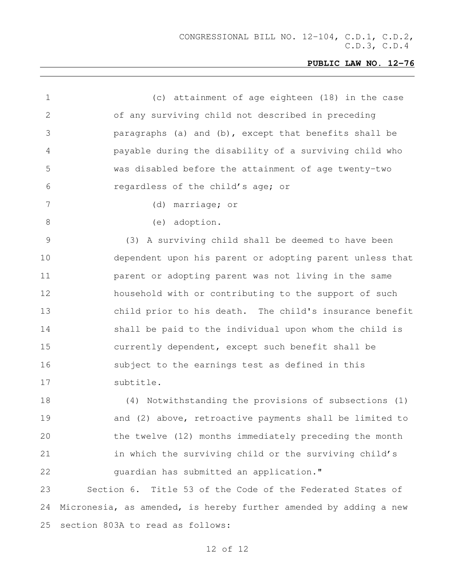| $\mathbf 1$  | (c) attainment of age eighteen (18) in the case                   |
|--------------|-------------------------------------------------------------------|
| $\mathbf{2}$ | of any surviving child not described in preceding                 |
| 3            | paragraphs (a) and (b), except that benefits shall be             |
| 4            | payable during the disability of a surviving child who            |
| 5            | was disabled before the attainment of age twenty-two              |
| 6            | regardless of the child's age; or                                 |
| 7            | (d) marriage; or                                                  |
| $\,8\,$      | (e) adoption.                                                     |
| 9            | (3) A surviving child shall be deemed to have been                |
| 10           | dependent upon his parent or adopting parent unless that          |
| 11           | parent or adopting parent was not living in the same              |
| 12           | household with or contributing to the support of such             |
| 13           | child prior to his death. The child's insurance benefit           |
| 14           | shall be paid to the individual upon whom the child is            |
| 15           | currently dependent, except such benefit shall be                 |
| 16           | subject to the earnings test as defined in this                   |
| 17           | subtitle.                                                         |
| 18           | (4) Notwithstanding the provisions of subsections (1)             |
| 19           | and (2) above, retroactive payments shall be limited to           |
| 20           | the twelve (12) months immediately preceding the month            |
| 21           | in which the surviving child or the surviving child's             |
| 22           | guardian has submitted an application."                           |
| 23           | Section 6. Title 53 of the Code of the Federated States of        |
| 24           | Micronesia, as amended, is hereby further amended by adding a new |
| 25           | section 803A to read as follows:                                  |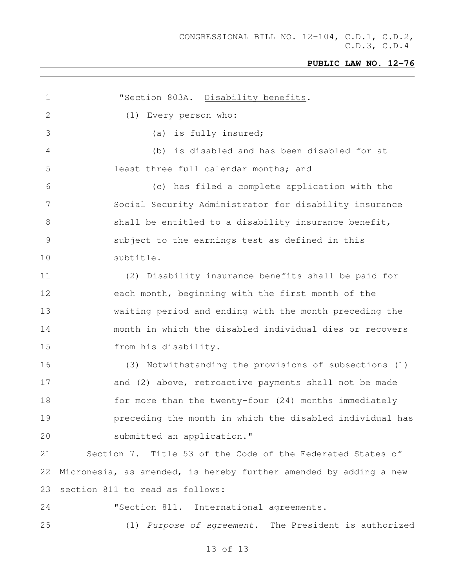| 1             | "Section 803A. Disability benefits.                               |
|---------------|-------------------------------------------------------------------|
| 2             | Every person who:<br>(1)                                          |
| 3             | is fully insured;<br>(a)                                          |
| 4             | is disabled and has been disabled for at<br>(b)                   |
| 5             | least three full calendar months; and                             |
| 6             | (c) has filed a complete application with the                     |
| 7             | Social Security Administrator for disability insurance            |
| 8             | shall be entitled to a disability insurance benefit,              |
| $\mathcal{G}$ | subject to the earnings test as defined in this                   |
| 10            | subtitle.                                                         |
| 11            | Disability insurance benefits shall be paid for<br>(2)            |
| 12            | each month, beginning with the first month of the                 |
| 13            | waiting period and ending with the month preceding the            |
| 14            | month in which the disabled individual dies or recovers           |
| 15            | from his disability.                                              |
| 16            | (3) Notwithstanding the provisions of subsections (1)             |
| 17            | and (2) above, retroactive payments shall not be made             |
| 18            | for more than the twenty-four (24) months immediately             |
| 19            | preceding the month in which the disabled individual has          |
| 20            | submitted an application."                                        |
| 21            | Section 7. Title 53 of the Code of the Federated States of        |
| 22            | Micronesia, as amended, is hereby further amended by adding a new |
| 23            | section 811 to read as follows:                                   |
| 24            | "Section 811. International agreements.                           |
| 25            | (1) Purpose of agreement. The President is authorized             |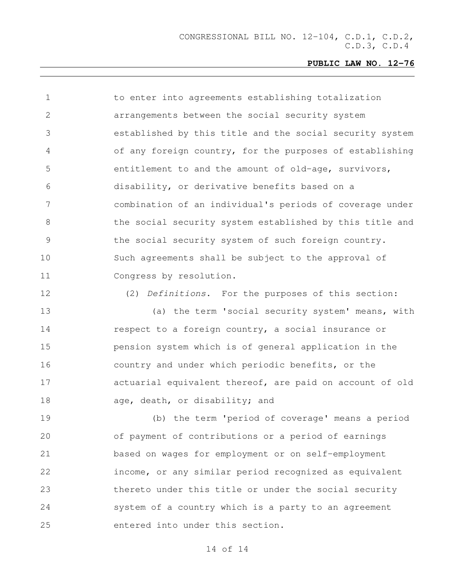1 to enter into agreements establishing totalization arrangements between the social security system established by this title and the social security system of any foreign country, for the purposes of establishing entitlement to and the amount of old-age, survivors, disability, or derivative benefits based on a combination of an individual's periods of coverage under 8 the social security system established by this title and the social security system of such foreign country. Such agreements shall be subject to the approval of Congress by resolution.

(2) *Definitions*. For the purposes of this section:

 (a) the term 'social security system' means, with **respect to a foreign country, a social insurance or**  pension system which is of general application in the country and under which periodic benefits, or the actuarial equivalent thereof, are paid on account of old 18 age, death, or disability; and

 (b) the term 'period of coverage' means a period of payment of contributions or a period of earnings based on wages for employment or on self-employment income, or any similar period recognized as equivalent thereto under this title or under the social security system of a country which is a party to an agreement entered into under this section.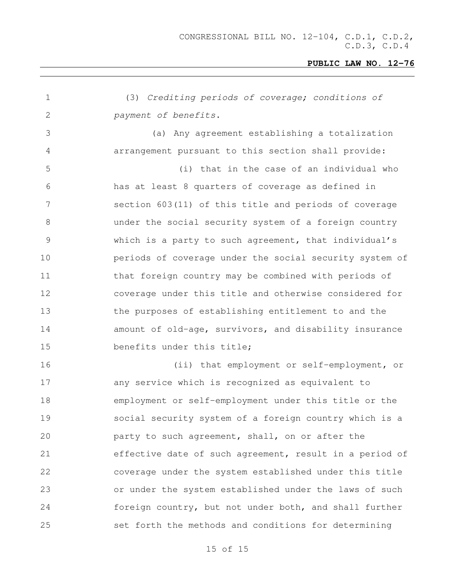| 1               | (3) Crediting periods of coverage; conditions of        |
|-----------------|---------------------------------------------------------|
| 2               | payment of benefits.                                    |
| 3               | (a) Any agreement establishing a totalization           |
| $\overline{4}$  | arrangement pursuant to this section shall provide:     |
| 5               | (i) that in the case of an individual who               |
| 6               | has at least 8 quarters of coverage as defined in       |
| $7\phantom{.0}$ | section 603(11) of this title and periods of coverage   |
| $8\,$           | under the social security system of a foreign country   |
| 9               | which is a party to such agreement, that individual's   |
| 10              | periods of coverage under the social security system of |
| 11              | that foreign country may be combined with periods of    |
| 12              | coverage under this title and otherwise considered for  |
| 13              | the purposes of establishing entitlement to and the     |
| 14              | amount of old-age, survivors, and disability insurance  |
| 15              | benefits under this title;                              |
| 16              | (ii) that employment or self-employment, or             |
| 17              | any service which is recognized as equivalent to        |
| 18              | employment or self-employment under this title or the   |
| 19              | social security system of a foreign country which is a  |
| 20              | party to such agreement, shall, on or after the         |
| 21              | effective date of such agreement, result in a period of |
| 22              | coverage under the system established under this title  |
| 23              | or under the system established under the laws of such  |
| 24              | foreign country, but not under both, and shall further  |
| 25              | set forth the methods and conditions for determining    |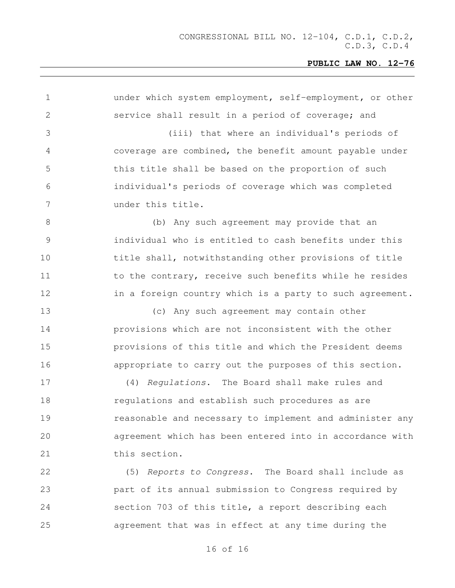| $\mathbf 1$   | under which system employment, self-employment, or other |
|---------------|----------------------------------------------------------|
| 2             | service shall result in a period of coverage; and        |
| 3             | (iii) that where an individual's periods of              |
| 4             | coverage are combined, the benefit amount payable under  |
| 5             | this title shall be based on the proportion of such      |
| 6             | individual's periods of coverage which was completed     |
| 7             | under this title.                                        |
| 8             | (b) Any such agreement may provide that an               |
| $\mathcal{G}$ | individual who is entitled to cash benefits under this   |
| 10            | title shall, notwithstanding other provisions of title   |
| 11            | to the contrary, receive such benefits while he resides  |
| 12            | in a foreign country which is a party to such agreement. |
| 13            | (c) Any such agreement may contain other                 |
| 14            | provisions which are not inconsistent with the other     |
| 15            | provisions of this title and which the President deems   |
| 16            | appropriate to carry out the purposes of this section.   |
| 17            | (4) Regulations. The Board shall make rules and          |
| 18            | requlations and establish such procedures as are         |
| 19            | reasonable and necessary to implement and administer any |
| 20            | agreement which has been entered into in accordance with |
| 21            | this section.                                            |
| 22            | (5) Reports to Congress. The Board shall include as      |
| 23            | part of its annual submission to Congress required by    |
| 24            | section 703 of this title, a report describing each      |
| 25            | agreement that was in effect at any time during the      |
|               |                                                          |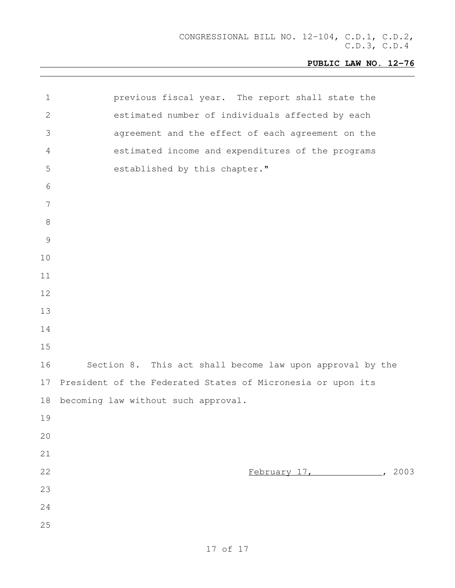| $\mathbf 1$     | previous fiscal year. The report shall state the            |
|-----------------|-------------------------------------------------------------|
| 2               | estimated number of individuals affected by each            |
| 3               | agreement and the effect of each agreement on the           |
| $\overline{4}$  | estimated income and expenditures of the programs           |
| 5               | established by this chapter."                               |
| 6               |                                                             |
| $7\phantom{.0}$ |                                                             |
| $8\,$           |                                                             |
| $\mathcal{G}$   |                                                             |
| 10              |                                                             |
| 11              |                                                             |
| 12              |                                                             |
| 13              |                                                             |
| 14              |                                                             |
| 15              |                                                             |
| 16              | Section 8. This act shall become law upon approval by the   |
| 17              | President of the Federated States of Micronesia or upon its |
| 18              | becoming law without such approval.                         |
| 19              |                                                             |
| 20              |                                                             |
| 21              |                                                             |
| 22              | February 17, 2003                                           |
| 23              |                                                             |
| 24              |                                                             |
| 25              |                                                             |